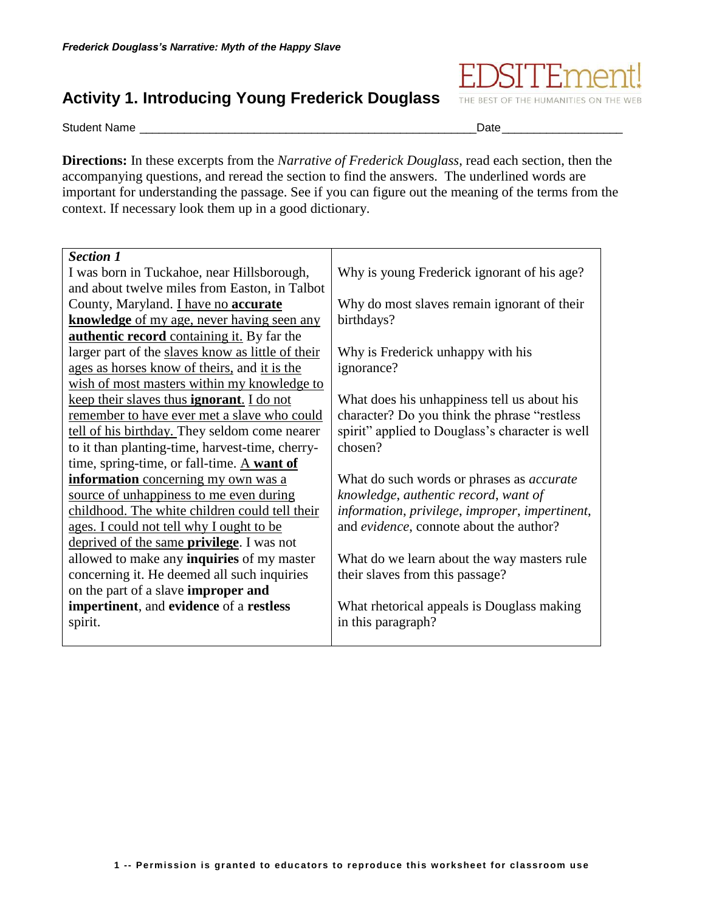## **Activity 1. Introducing Young Frederick Douglass**

Student Name \_\_\_\_\_\_\_\_\_\_\_\_\_\_\_\_\_\_\_\_\_\_\_\_\_\_\_\_\_\_\_\_\_\_\_\_\_\_\_\_\_\_\_\_\_\_\_\_\_\_\_\_\_Date\_\_\_\_\_\_\_\_\_\_\_\_\_\_\_\_\_\_\_

THE BEST OF THE HUMANITIES ON THE WEB

**Directions:** In these excerpts from the *Narrative of Frederick Douglass*, read each section, then the accompanying questions, and reread the section to find the answers. The underlined words are important for understanding the passage. See if you can figure out the meaning of the terms from the context. If necessary look them up in a good dictionary.

| <b>Section 1</b>                                  |                                                  |
|---------------------------------------------------|--------------------------------------------------|
| I was born in Tuckahoe, near Hillsborough,        | Why is young Frederick ignorant of his age?      |
| and about twelve miles from Easton, in Talbot     |                                                  |
| County, Maryland. <i>I have no accurate</i>       | Why do most slaves remain ignorant of their      |
| <b>knowledge</b> of my age, never having seen any | birthdays?                                       |
| <b>authentic record</b> containing it. By far the |                                                  |
| larger part of the slaves know as little of their | Why is Frederick unhappy with his                |
| ages as horses know of theirs, and it is the      | ignorance?                                       |
| wish of most masters within my knowledge to       |                                                  |
| keep their slaves thus <b>ignorant</b> . I do not | What does his unhappiness tell us about his      |
| remember to have ever met a slave who could       | character? Do you think the phrase "restless"    |
| tell of his birthday. They seldom come nearer     | spirit" applied to Douglass's character is well  |
| to it than planting-time, harvest-time, cherry-   | chosen?                                          |
| time, spring-time, or fall-time. A want of        |                                                  |
| information concerning my own was a               | What do such words or phrases as <i>accurate</i> |
| source of unhappiness to me even during           | knowledge, authentic record, want of             |
| childhood. The white children could tell their    | information, privilege, improper, impertinent,   |
| ages. I could not tell why I ought to be          | and evidence, connote about the author?          |
| deprived of the same <b>privilege</b> . I was not |                                                  |
| allowed to make any <b>inquiries</b> of my master | What do we learn about the way masters rule      |
| concerning it. He deemed all such inquiries       | their slaves from this passage?                  |
| on the part of a slave improper and               |                                                  |
| impertinent, and evidence of a restless           | What rhetorical appeals is Douglass making       |
| spirit.                                           | in this paragraph?                               |
|                                                   |                                                  |